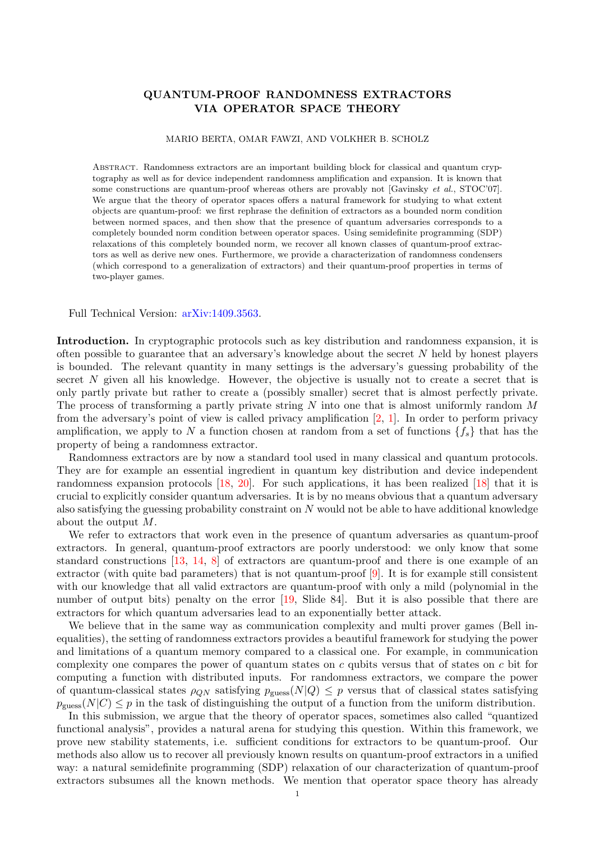## QUANTUM-PROOF RANDOMNESS EXTRACTORS VIA OPERATOR SPACE THEORY

## MARIO BERTA, OMAR FAWZI, AND VOLKHER B. SCHOLZ

Abstract. Randomness extractors are an important building block for classical and quantum cryptography as well as for device independent randomness amplification and expansion. It is known that some constructions are quantum-proof whereas others are provably not [Gavinsky et al., STOC'07]. We argue that the theory of operator spaces offers a natural framework for studying to what extent objects are quantum-proof: we first rephrase the definition of extractors as a bounded norm condition between normed spaces, and then show that the presence of quantum adversaries corresponds to a completely bounded norm condition between operator spaces. Using semidefinite programming (SDP) relaxations of this completely bounded norm, we recover all known classes of quantum-proof extractors as well as derive new ones. Furthermore, we provide a characterization of randomness condensers (which correspond to a generalization of extractors) and their quantum-proof properties in terms of two-player games.

Full Technical Version: [arXiv:1409.3563.](http://arxiv.org/abs/1409.3563)

Introduction. In cryptographic protocols such as key distribution and randomness expansion, it is often possible to guarantee that an adversary's knowledge about the secret  $N$  held by honest players is bounded. The relevant quantity in many settings is the adversary's guessing probability of the secret  $N$  given all his knowledge. However, the objective is usually not to create a secret that is only partly private but rather to create a (possibly smaller) secret that is almost perfectly private. The process of transforming a partly private string N into one that is almost uniformly random  $M$ from the adversary's point of view is called privacy amplification [\[2,](#page-3-0) [1\]](#page-3-1). In order to perform privacy amplification, we apply to N a function chosen at random from a set of functions  $\{f_s\}$  that has the property of being a randomness extractor.

Randomness extractors are by now a standard tool used in many classical and quantum protocols. They are for example an essential ingredient in quantum key distribution and device independent randomness expansion protocols [\[18,](#page-3-2) [20\]](#page-3-3). For such applications, it has been realized [\[18\]](#page-3-2) that it is crucial to explicitly consider quantum adversaries. It is by no means obvious that a quantum adversary also satisfying the guessing probability constraint on N would not be able to have additional knowledge about the output M.

We refer to extractors that work even in the presence of quantum adversaries as quantum-proof extractors. In general, quantum-proof extractors are poorly understood: we only know that some standard constructions [\[13,](#page-3-4) [14,](#page-3-5) [8\]](#page-3-6) of extractors are quantum-proof and there is one example of an extractor (with quite bad parameters) that is not quantum-proof [\[9\]](#page-3-7). It is for example still consistent with our knowledge that all valid extractors are quantum-proof with only a mild (polynomial in the number of output bits) penalty on the error [\[19,](#page-3-8) Slide 84]. But it is also possible that there are extractors for which quantum adversaries lead to an exponentially better attack.

We believe that in the same way as communication complexity and multi prover games (Bell inequalities), the setting of randomness extractors provides a beautiful framework for studying the power and limitations of a quantum memory compared to a classical one. For example, in communication complexity one compares the power of quantum states on  $c$  qubits versus that of states on  $c$  bit for computing a function with distributed inputs. For randomness extractors, we compare the power of quantum-classical states  $\rho_{QN}$  satisfying  $p_{\text{guess}}(N|Q) \leq p$  versus that of classical states satisfying  $p_{\text{guess}}(N|C) \leq p$  in the task of distinguishing the output of a function from the uniform distribution.

In this submission, we argue that the theory of operator spaces, sometimes also called "quantized functional analysis", provides a natural arena for studying this question. Within this framework, we prove new stability statements, i.e. sufficient conditions for extractors to be quantum-proof. Our methods also allow us to recover all previously known results on quantum-proof extractors in a unified way: a natural semidefinite programming (SDP) relaxation of our characterization of quantum-proof extractors subsumes all the known methods. We mention that operator space theory has already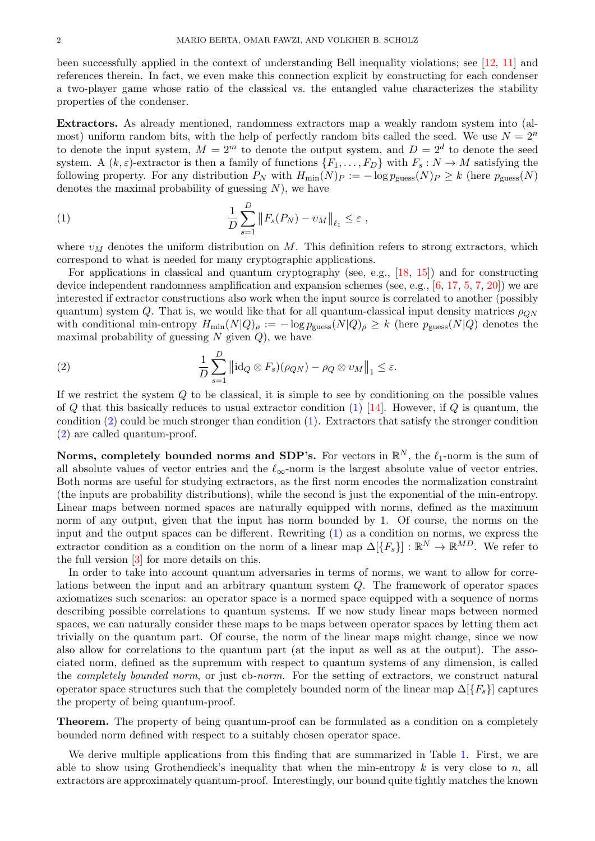been successfully applied in the context of understanding Bell inequality violations; see [\[12,](#page-3-9) [11\]](#page-3-10) and references therein. In fact, we even make this connection explicit by constructing for each condenser a two-player game whose ratio of the classical vs. the entangled value characterizes the stability properties of the condenser.

Extractors. As already mentioned, randomness extractors map a weakly random system into (almost) uniform random bits, with the help of perfectly random bits called the seed. We use  $N = 2<sup>n</sup>$ to denote the input system,  $M = 2<sup>m</sup>$  to denote the output system, and  $D = 2<sup>d</sup>$  to denote the seed system. A  $(k, \varepsilon)$ -extractor is then a family of functions  $\{F_1, \ldots, F_D\}$  with  $F_s : N \to M$  satisfying the following property. For any distribution  $P_N$  with  $H_{\text{min}}(N)_P := -\log p_{\text{guess}}(N)_P \ge k$  (here  $p_{\text{guess}}(N)$ ) denotes the maximal probability of guessing  $N$ ), we have

<span id="page-1-0"></span>(1) 
$$
\frac{1}{D}\sum_{s=1}^{D}||F_s(P_N) - v_M||_{\ell_1} \leq \varepsilon,
$$

where  $v_M$  denotes the uniform distribution on M. This definition refers to strong extractors, which correspond to what is needed for many cryptographic applications.

For applications in classical and quantum cryptography (see, e.g., [\[18,](#page-3-2) [15\]](#page-3-11)) and for constructing device independent randomness amplification and expansion schemes (see, e.g., [\[6,](#page-3-12) [17,](#page-3-13) [5,](#page-3-14) [7,](#page-3-15) [20\]](#page-3-3)) we are interested if extractor constructions also work when the input source is correlated to another (possibly quantum) system Q. That is, we would like that for all quantum-classical input density matrices  $\rho_{ON}$ with conditional min-entropy  $H_{min}(N|Q)_{\rho} := -\log p_{\text{guess}}(N|Q)_{\rho} \ge k$  (here  $p_{\text{guess}}(N|Q)$  denotes the maximal probability of guessing  $N$  given  $Q$ ), we have

<span id="page-1-1"></span>(2) 
$$
\frac{1}{D}\sum_{s=1}^{D} \left\|\mathrm{id}_Q \otimes F_s(\rho_{QN}) - \rho_Q \otimes v_M\right\|_1 \leq \varepsilon.
$$

If we restrict the system Q to be classical, it is simple to see by conditioning on the possible values of  $Q$  that this basically reduces to usual extractor condition [\(1\)](#page-1-0) [\[14\]](#page-3-5). However, if  $Q$  is quantum, the condition [\(2\)](#page-1-1) could be much stronger than condition [\(1\)](#page-1-0). Extractors that satisfy the stronger condition [\(2\)](#page-1-1) are called quantum-proof.

Norms, completely bounded norms and SDP's. For vectors in  $\mathbb{R}^N$ , the  $\ell_1$ -norm is the sum of all absolute values of vector entries and the  $\ell_{\infty}$ -norm is the largest absolute value of vector entries. Both norms are useful for studying extractors, as the first norm encodes the normalization constraint (the inputs are probability distributions), while the second is just the exponential of the min-entropy. Linear maps between normed spaces are naturally equipped with norms, defined as the maximum norm of any output, given that the input has norm bounded by 1. Of course, the norms on the input and the output spaces can be different. Rewriting [\(1\)](#page-1-0) as a condition on norms, we express the extractor condition as a condition on the norm of a linear map  $\Delta[\{F_s\}]: \mathbb{R}^N \to \mathbb{R}^{MD}$ . We refer to the full version  $|3|$  for more details on this.

In order to take into account quantum adversaries in terms of norms, we want to allow for correlations between the input and an arbitrary quantum system Q. The framework of operator spaces axiomatizes such scenarios: an operator space is a normed space equipped with a sequence of norms describing possible correlations to quantum systems. If we now study linear maps between normed spaces, we can naturally consider these maps to be maps between operator spaces by letting them act trivially on the quantum part. Of course, the norm of the linear maps might change, since we now also allow for correlations to the quantum part (at the input as well as at the output). The associated norm, defined as the supremum with respect to quantum systems of any dimension, is called the completely bounded norm, or just cb-norm. For the setting of extractors, we construct natural operator space structures such that the completely bounded norm of the linear map  $\Delta[\{F_s\}]$  captures the property of being quantum-proof.

**Theorem.** The property of being quantum-proof can be formulated as a condition on a completely bounded norm defined with respect to a suitably chosen operator space.

We derive multiple applications from this finding that are summarized in Table [1.](#page-2-0) First, we are able to show using Grothendieck's inequality that when the min-entropy  $k$  is very close to  $n$ , all extractors are approximately quantum-proof. Interestingly, our bound quite tightly matches the known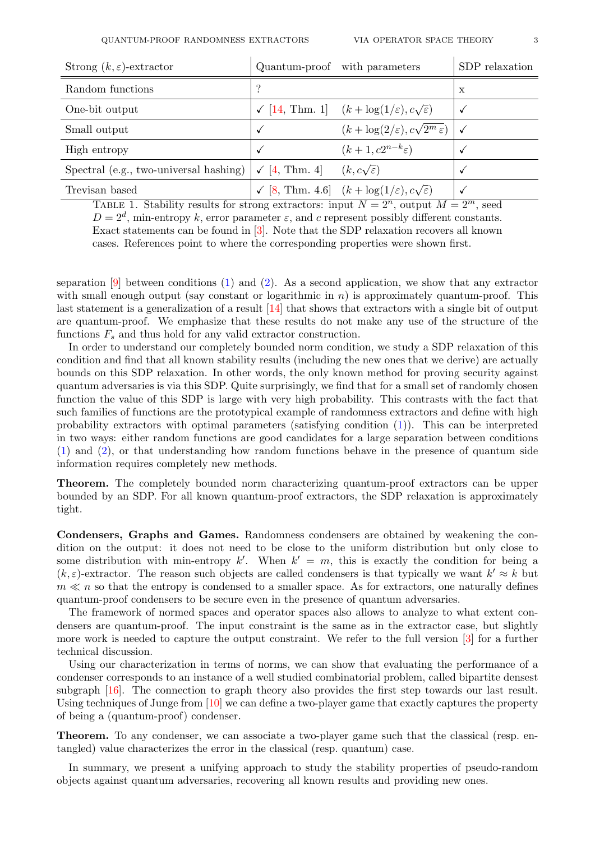| Strong $(k, \varepsilon)$ -extractor           |                     | Quantum-proof with parameters                                         | SDP relaxation |
|------------------------------------------------|---------------------|-----------------------------------------------------------------------|----------------|
| Random functions                               | 9                   |                                                                       | $\mathbf x$    |
| One-bit output                                 |                     | $\sqrt{14}$ , Thm. 1 $(k + \log(1/\varepsilon), c\sqrt{\varepsilon})$ |                |
| Small output                                   |                     | $(k+\log(2/\varepsilon), c\sqrt{2^m \varepsilon})$                    |                |
| High entropy                                   |                     | $(k+1, c2^{n-k} \varepsilon)$                                         |                |
| Spectral (e.g., two-universal hashing) $\vert$ | $\sqrt{4}$ , Thm. 4 | $(k, c\sqrt{\varepsilon})$                                            | √              |
| Trevisan based                                 |                     | [8, Thm. 4.6] $(k + \log(1/\varepsilon), c\sqrt{\varepsilon})$        |                |

<span id="page-2-0"></span>TABLE 1. Stability results for strong extractors: input  $N = 2^n$ , output  $M = 2^m$ , seed  $D = 2^d$ , min-entropy k, error parameter  $\varepsilon$ , and c represent possibly different constants. Exact statements can be found in [\[3\]](#page-3-16). Note that the SDP relaxation recovers all known cases. References point to where the corresponding properties were shown first.

separation  $[9]$  between conditions  $(1)$  and  $(2)$ . As a second application, we show that any extractor with small enough output (say constant or logarithmic in  $n$ ) is approximately quantum-proof. This last statement is a generalization of a result  $\left[14\right]$  that shows that extractors with a single bit of output are quantum-proof. We emphasize that these results do not make any use of the structure of the functions  $F_s$  and thus hold for any valid extractor construction.

In order to understand our completely bounded norm condition, we study a SDP relaxation of this condition and find that all known stability results (including the new ones that we derive) are actually bounds on this SDP relaxation. In other words, the only known method for proving security against quantum adversaries is via this SDP. Quite surprisingly, we find that for a small set of randomly chosen function the value of this SDP is large with very high probability. This contrasts with the fact that such families of functions are the prototypical example of randomness extractors and define with high probability extractors with optimal parameters (satisfying condition [\(1\)](#page-1-0)). This can be interpreted in two ways: either random functions are good candidates for a large separation between conditions [\(1\)](#page-1-0) and [\(2\)](#page-1-1), or that understanding how random functions behave in the presence of quantum side information requires completely new methods.

Theorem. The completely bounded norm characterizing quantum-proof extractors can be upper bounded by an SDP. For all known quantum-proof extractors, the SDP relaxation is approximately tight.

Condensers, Graphs and Games. Randomness condensers are obtained by weakening the condition on the output: it does not need to be close to the uniform distribution but only close to some distribution with min-entropy k'. When  $k' = m$ , this is exactly the condition for being a  $(k, \varepsilon)$ -extractor. The reason such objects are called condensers is that typically we want  $k' \approx k$  but  $m \ll n$  so that the entropy is condensed to a smaller space. As for extractors, one naturally defines quantum-proof condensers to be secure even in the presence of quantum adversaries.

The framework of normed spaces and operator spaces also allows to analyze to what extent condensers are quantum-proof. The input constraint is the same as in the extractor case, but slightly more work is needed to capture the output constraint. We refer to the full version [\[3\]](#page-3-16) for a further technical discussion.

Using our characterization in terms of norms, we can show that evaluating the performance of a condenser corresponds to an instance of a well studied combinatorial problem, called bipartite densest subgraph [\[16\]](#page-3-18). The connection to graph theory also provides the first step towards our last result. Using techniques of Junge from [\[10\]](#page-3-19) we can define a two-player game that exactly captures the property of being a (quantum-proof) condenser.

Theorem. To any condenser, we can associate a two-player game such that the classical (resp. entangled) value characterizes the error in the classical (resp. quantum) case.

In summary, we present a unifying approach to study the stability properties of pseudo-random objects against quantum adversaries, recovering all known results and providing new ones.